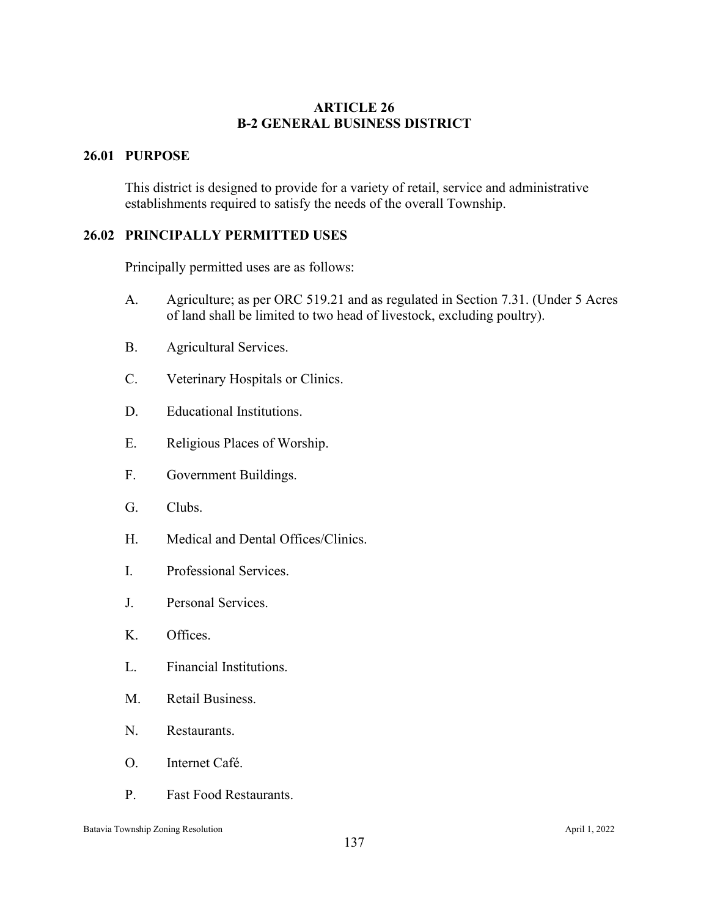## **ARTICLE 26 B-2 GENERAL BUSINESS DISTRICT**

# **26.01 PURPOSE**

This district is designed to provide for a variety of retail, service and administrative establishments required to satisfy the needs of the overall Township.

# **26.02 PRINCIPALLY PERMITTED USES**

Principally permitted uses are as follows:

- A. Agriculture; as per ORC 519.21 and as regulated in Section 7.31. (Under 5 Acres of land shall be limited to two head of livestock, excluding poultry).
- B. Agricultural Services.
- C. Veterinary Hospitals or Clinics.
- D. Educational Institutions.
- E. Religious Places of Worship.
- F. Government Buildings.
- G. Clubs.
- H. Medical and Dental Offices/Clinics.
- I. Professional Services.
- J. Personal Services.
- K. Offices.
- L. Financial Institutions.
- M. Retail Business.
- N. Restaurants.
- O. Internet Café.
- P. Fast Food Restaurants.

Batavia Township Zoning Resolution April 1, 2022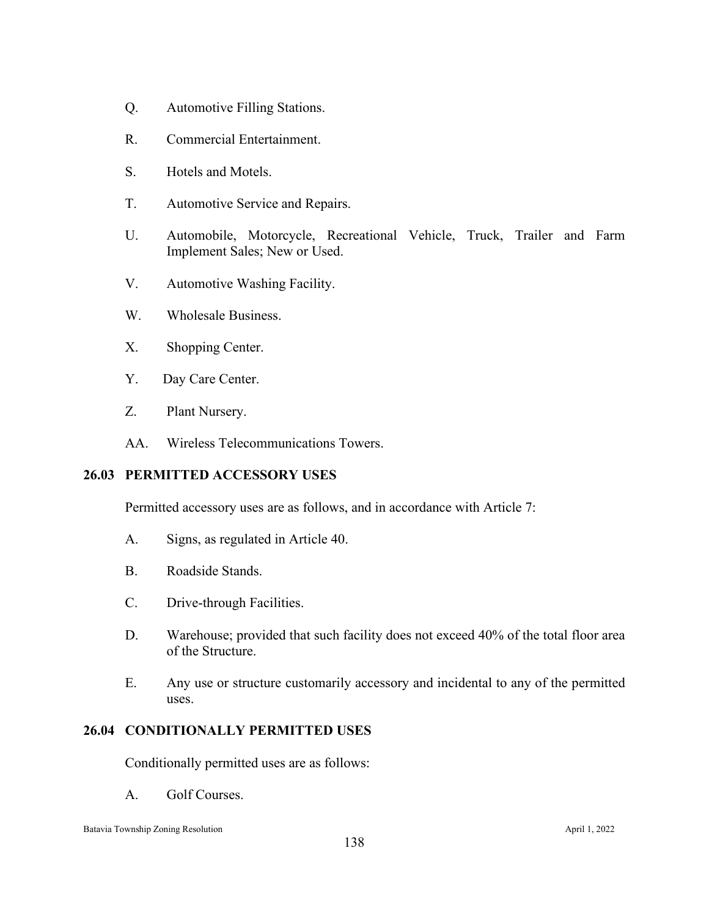- Q. Automotive Filling Stations.
- R. Commercial Entertainment.
- S. Hotels and Motels.
- T. Automotive Service and Repairs.
- U. Automobile, Motorcycle, Recreational Vehicle, Truck, Trailer and Farm Implement Sales; New or Used.
- V. Automotive Washing Facility.
- W. Wholesale Business.
- X. Shopping Center.
- Y. Day Care Center.
- Z. Plant Nursery.
- AA. Wireless Telecommunications Towers.

# **26.03 PERMITTED ACCESSORY USES**

Permitted accessory uses are as follows, and in accordance with Article 7:

- A. Signs, as regulated in Article 40.
- B. Roadside Stands.
- C. Drive-through Facilities.
- D. Warehouse; provided that such facility does not exceed 40% of the total floor area of the Structure.
- E. Any use or structure customarily accessory and incidental to any of the permitted uses.

### **26.04 CONDITIONALLY PERMITTED USES**

Conditionally permitted uses are as follows:

A. Golf Courses.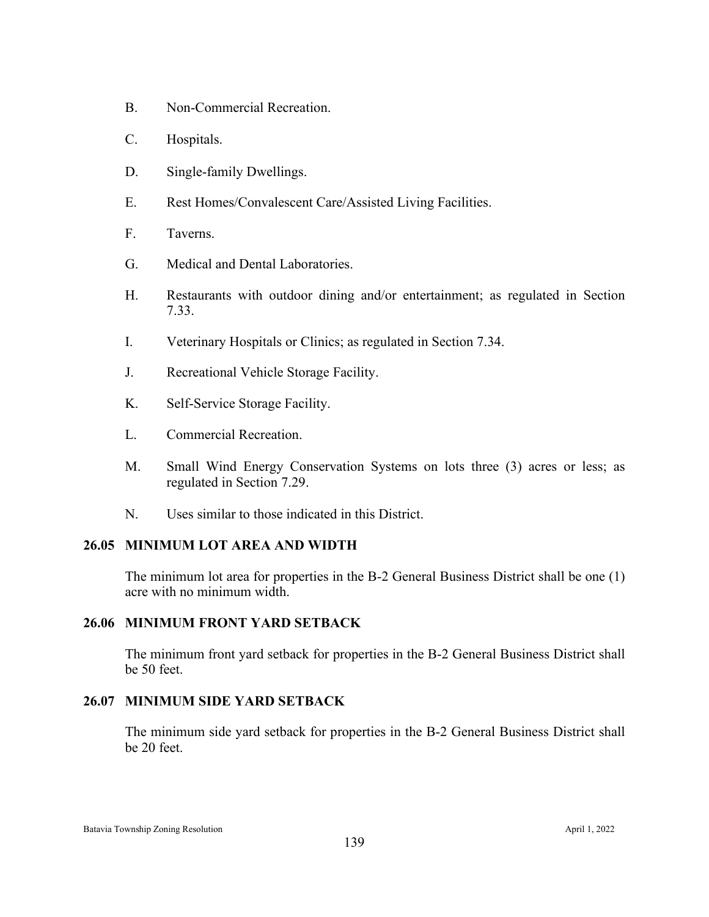- B. Non-Commercial Recreation.
- C. Hospitals.
- D. Single-family Dwellings.
- E. Rest Homes/Convalescent Care/Assisted Living Facilities.
- F. Taverns.
- G. Medical and Dental Laboratories.
- H. Restaurants with outdoor dining and/or entertainment; as regulated in Section 7.33.
- I. Veterinary Hospitals or Clinics; as regulated in Section 7.34.
- J. Recreational Vehicle Storage Facility.
- K. Self-Service Storage Facility.
- L. Commercial Recreation.
- M. Small Wind Energy Conservation Systems on lots three (3) acres or less; as regulated in Section 7.29.
- N. Uses similar to those indicated in this District.

#### **26.05 MINIMUM LOT AREA AND WIDTH**

The minimum lot area for properties in the B-2 General Business District shall be one (1) acre with no minimum width.

### **26.06 MINIMUM FRONT YARD SETBACK**

The minimum front yard setback for properties in the B-2 General Business District shall be 50 feet.

#### **26.07 MINIMUM SIDE YARD SETBACK**

The minimum side yard setback for properties in the B-2 General Business District shall be 20 feet.